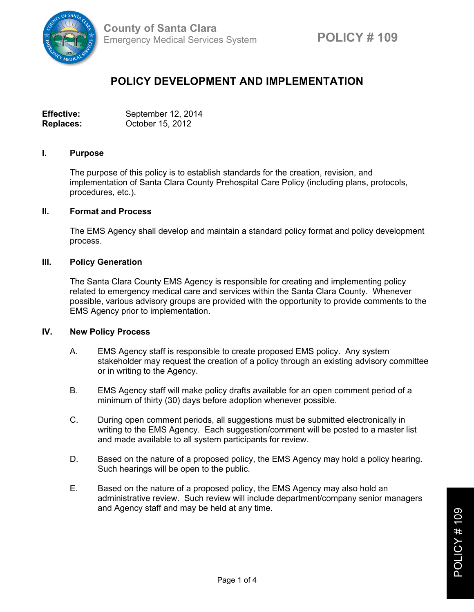

# **POLICY DEVELOPMENT AND IMPLEMENTATION**

| <b>Effective:</b> | September 12, 2014 |
|-------------------|--------------------|
| <b>Replaces:</b>  | October 15, 2012   |

#### **I. Purpose**

The purpose of this policy is to establish standards for the creation, revision, and implementation of Santa Clara County Prehospital Care Policy (including plans, protocols, procedures, etc.).

#### **II. Format and Process**

The EMS Agency shall develop and maintain a standard policy format and policy development process.

#### **III. Policy Generation**

The Santa Clara County EMS Agency is responsible for creating and implementing policy related to emergency medical care and services within the Santa Clara County. Whenever possible, various advisory groups are provided with the opportunity to provide comments to the EMS Agency prior to implementation.

## **IV. New Policy Process**

- A. EMS Agency staff is responsible to create proposed EMS policy. Any system stakeholder may request the creation of a policy through an existing advisory committee or in writing to the Agency.
- B. EMS Agency staff will make policy drafts available for an open comment period of a minimum of thirty (30) days before adoption whenever possible.
- C. During open comment periods, all suggestions must be submitted electronically in writing to the EMS Agency. Each suggestion/comment will be posted to a master list and made available to all system participants for review.
- D. Based on the nature of a proposed policy, the EMS Agency may hold a policy hearing. Such hearings will be open to the public.
- E. Based on the nature of a proposed policy, the EMS Agency may also hold an administrative review. Such review will include department/company senior managers and Agency staff and may be held at any time.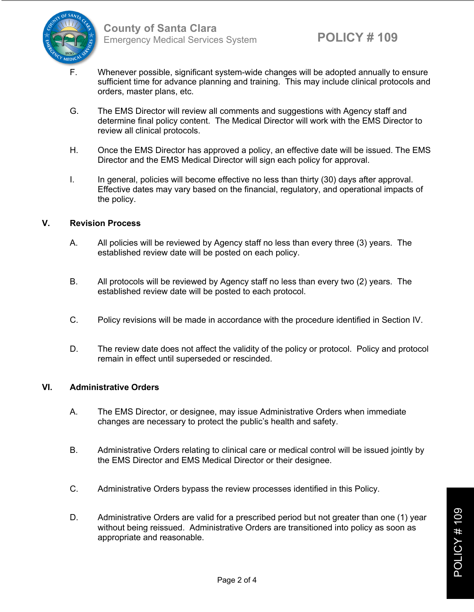

- F. Whenever possible, significant system-wide changes will be adopted annually to ensure sufficient time for advance planning and training. This may include clinical protocols and orders, master plans, etc.
- G. The EMS Director will review all comments and suggestions with Agency staff and determine final policy content. The Medical Director will work with the EMS Director to review all clinical protocols.
- H. Once the EMS Director has approved a policy, an effective date will be issued. The EMS Director and the EMS Medical Director will sign each policy for approval.
- I. In general, policies will become effective no less than thirty (30) days after approval. Effective dates may vary based on the financial, regulatory, and operational impacts of the policy.

## **V. Revision Process**

- A. All policies will be reviewed by Agency staff no less than every three (3) years. The established review date will be posted on each policy.
- B. All protocols will be reviewed by Agency staff no less than every two (2) years. The established review date will be posted to each protocol.
- C. Policy revisions will be made in accordance with the procedure identified in Section IV.
- D. The review date does not affect the validity of the policy or protocol. Policy and protocol remain in effect until superseded or rescinded.

## **VI. Administrative Orders**

- A. The EMS Director, or designee, may issue Administrative Orders when immediate changes are necessary to protect the public's health and safety.
- B. Administrative Orders relating to clinical care or medical control will be issued jointly by the EMS Director and EMS Medical Director or their designee.
- C. Administrative Orders bypass the review processes identified in this Policy.
- D. Administrative Orders are valid for a prescribed period but not greater than one (1) year without being reissued. Administrative Orders are transitioned into policy as soon as appropriate and reasonable.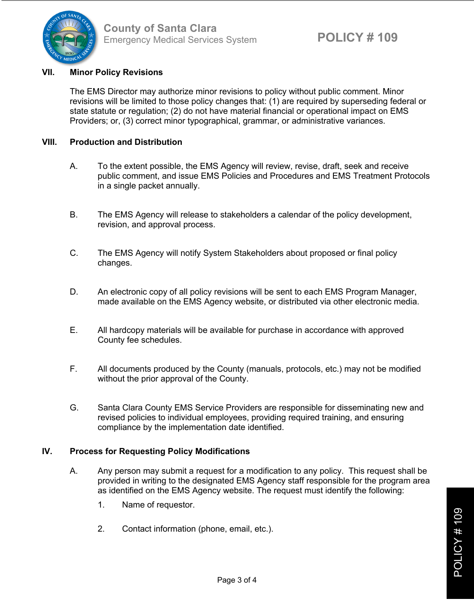

# **VII. Minor Policy Revisions**

The EMS Director may authorize minor revisions to policy without public comment. Minor revisions will be limited to those policy changes that: (1) are required by superseding federal or state statute or regulation; (2) do not have material financial or operational impact on EMS Providers; or, (3) correct minor typographical, grammar, or administrative variances.

# **VIII. Production and Distribution**

- A. To the extent possible, the EMS Agency will review, revise, draft, seek and receive public comment, and issue EMS Policies and Procedures and EMS Treatment Protocols in a single packet annually.
- B. The EMS Agency will release to stakeholders a calendar of the policy development, revision, and approval process.
- C. The EMS Agency will notify System Stakeholders about proposed or final policy changes.
- D. An electronic copy of all policy revisions will be sent to each EMS Program Manager, made available on the EMS Agency website, or distributed via other electronic media.
- E. All hardcopy materials will be available for purchase in accordance with approved County fee schedules.
- F. All documents produced by the County (manuals, protocols, etc.) may not be modified without the prior approval of the County.
- G. Santa Clara County EMS Service Providers are responsible for disseminating new and revised policies to individual employees, providing required training, and ensuring compliance by the implementation date identified.

## **IV. Process for Requesting Policy Modifications**

- A. Any person may submit a request for a modification to any policy. This request shall be provided in writing to the designated EMS Agency staff responsible for the program area as identified on the EMS Agency website. The request must identify the following:
	- 1. Name of requestor.
	- 2. Contact information (phone, email, etc.).